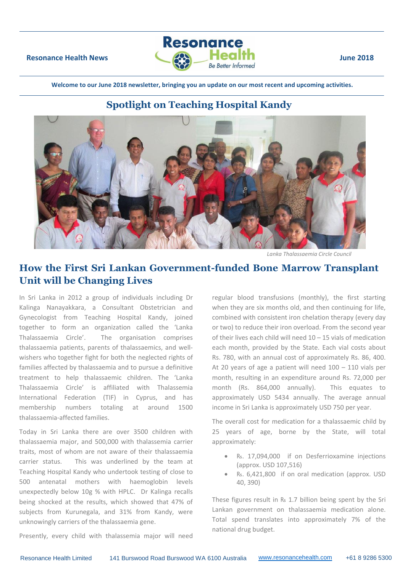

**Welcome to our June 2018 newsletter, bringing you an update on our most recent and upcoming activities.**

# **Spotlight on Teaching Hospital Kandy**



*Lanka Thalassaemia Circle Council*

# **How the First Sri Lankan Government-funded Bone Marrow Transplant Unit will be Changing Lives**

In Sri Lanka in 2012 a group of individuals including Dr Kalinga Nanayakkara, a Consultant Obstetrician and Gynecologist from Teaching Hospital Kandy, joined together to form an organization called the 'Lanka Thalassaemia Circle'. The organisation comprises thalassaemia patients, parents of thalassaemics, and wellwishers who together fight for both the neglected rights of families affected by thalassaemia and to pursue a definitive treatment to help thalassaemic children. The 'Lanka Thalassaemia Circle' is affiliated with Thalassemia International Federation (TIF) in Cyprus, and has membership numbers totaling at around 1500 thalassaemia-affected families.

Today in Sri Lanka there are over 3500 children with thalassaemia major, and 500,000 with thalassemia carrier traits, most of whom are not aware of their thalassaemia carrier status. This was underlined by the team at Teaching Hospital Kandy who undertook testing of close to 500 antenatal mothers with haemoglobin levels unexpectedly below 10g % with HPLC. Dr Kalinga recalls being shocked at the results, which showed that 47% of subjects from Kurunegala, and 31% from Kandy, were unknowingly carriers of the thalassaemia gene.

when they are six months old, and then continuing for life, combined with consistent iron chelation therapy (every day or two) to reduce their iron overload. From the second year of their lives each child will need 10 – 15 vials of medication each month, provided by the State. Each vial costs about Rs. 780, with an annual cost of approximately Rs. 86, 400. At 20 years of age a patient will need 100 – 110 vials per month, resulting in an expenditure around Rs. 72,000 per month (Rs. 864,000 annually). This equates to approximately USD 5434 annually. The average annual income in Sri Lanka is approximately USD 750 per year.

regular blood transfusions (monthly), the first starting

The overall cost for medication for a thalassaemic child by 25 years of age, borne by the State, will total approximately:

- ₨. 17,094,000 if on Desferrioxamine injections (approx. USD 107,516)
- ₨. 6,421,800 if on oral medication (approx. USD 40, 390)

These figures result in ₨ 1.7 billion being spent by the Sri Lankan government on thalassaemia medication alone. Total spend translates into approximately 7% of the national drug budget.

Presently, every child with thalassemia major will need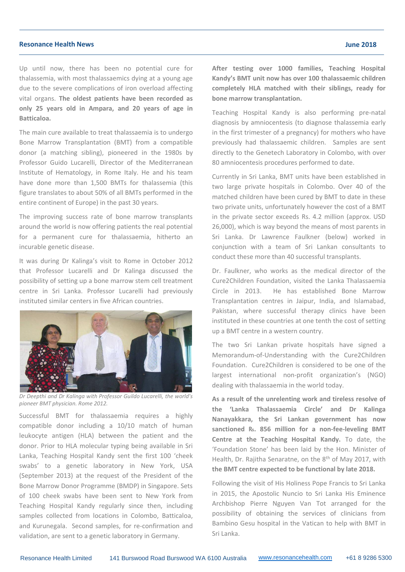#### **Resonance Health News June 2018**

Up until now, there has been no potential cure for thalassemia, with most thalassaemics dying at a young age due to the severe complications of iron overload affecting vital organs. **The oldest patients have been recorded as only 25 years old in Ampara, and 20 years of age in Batticaloa.**

The main cure available to treat thalassaemia is to undergo Bone Marrow Transplantation (BMT) from a compatible donor (a matching sibling), pioneered in the 1980s by Professor Guido Lucarelli, Director of the Mediterranean Institute of Hematology, in Rome Italy. He and his team have done more than 1,500 BMTs for thalassemia (this figure translates to about 50% of all BMTs performed in the entire continent of Europe) in the past 30 years.

The improving success rate of bone marrow transplants around the world is now offering patients the real potential for a permanent cure for thalassaemia, hitherto an incurable genetic disease.

It was during Dr Kalinga's visit to Rome in October 2012 that Professor Lucarelli and Dr Kalinga discussed the possibility of setting up a bone marrow stem cell treatment centre in Sri Lanka. Professor Lucarelli had previously instituted similar centers in five African countries.



*Dr Deepthi and Dr Kalinga with Professor Guildo Lucarelli, the world's pioneer BMT physician. Rome 2012.*

Successful BMT for thalassaemia requires a highly compatible donor including a 10/10 match of human leukocyte antigen (HLA) between the patient and the donor. Prior to HLA molecular typing being available in Sri Lanka, Teaching Hospital Kandy sent the first 100 'cheek swabs' to a genetic laboratory in New York, USA (September 2013) at the request of the President of the Bone Marrow Donor Programme (BMDP) in Singapore. Sets of 100 cheek swabs have been sent to New York from Teaching Hospital Kandy regularly since then, including samples collected from locations in Colombo, Batticaloa, and Kurunegala. Second samples, for re-confirmation and validation, are sent to a genetic laboratory in Germany.

**After testing over 1000 families, Teaching Hospital Kandy's BMT unit now has over 100 thalassaemic children completely HLA matched with their siblings, ready for bone marrow transplantation.**

Teaching Hospital Kandy is also performing pre-natal diagnosis by amniocentesis (to diagnose thalassemia early in the first trimester of a pregnancy) for mothers who have previously had thalassaemic children. Samples are sent directly to the Genetech Laboratory in Colombo, with over 80 amniocentesis procedures performed to date.

Currently in Sri Lanka, BMT units have been established in two large private hospitals in Colombo. Over 40 of the matched children have been cured by BMT to date in these two private units, unfortunately however the cost of a BMT in the private sector exceeds Rs. 4.2 million (approx. USD 26,000), which is way beyond the means of most parents in Sri Lanka. Dr Lawrence Faulkner (below) worked in conjunction with a team of Sri Lankan consultants to conduct these more than 40 successful transplants.

Dr. Faulkner, who works as the medical director of the Cure2Children Foundation, visited the Lanka Thalassaemia Circle in 2013. He has established Bone Marrow Transplantation centres in Jaipur, India, and Islamabad, Pakistan, where successful therapy clinics have been instituted in these countries at one tenth the cost of setting up a BMT centre in a western country.

The two Sri Lankan private hospitals have signed a Memorandum-of-Understanding with the Cure2Children Foundation. Cure2Children is considered to be one of the largest international non-profit organization's (NGO) dealing with thalassaemia in the world today.

**As a result of the unrelenting work and tireless resolve of the 'Lanka Thalassaemia Circle' and Dr Kalinga Nanayakkara, the Sri Lankan government has now sanctioned ₨. 856 million for a non-fee-leveling BMT Centre at the Teaching Hospital Kandy.** To date, the 'Foundation Stone' has been laid by the Hon. Minister of Health, Dr. Rajitha Senaratne, on the 8<sup>th</sup> of May 2017, with **the BMT centre expected to be functional by late 2018.**

Following the visit of His Holiness Pope Francis to Sri Lanka in 2015, the Apostolic Nuncio to Sri Lanka His Eminence Archbishop Pierre Nguyen Van Tot arranged for the possibility of obtaining the services of clinicians from Bambino Gesu hospital in the Vatican to help with BMT in Sri Lanka.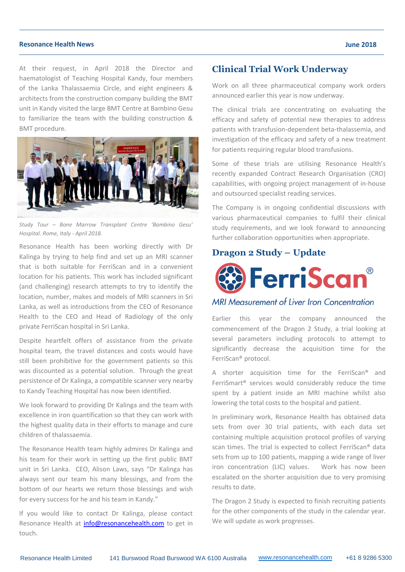#### **Resonance Health News June 2018**

At their request, in April 2018 the Director and haematologist of Teaching Hospital Kandy, four members of the Lanka Thalassaemia Circle, and eight engineers & architects from the construction company building the BMT unit in Kandy visited the large BMT Centre at Bambino Gesu to familiarize the team with the building construction & BMT procedure.



*Study Tour – Bone Marrow Transplant Centre 'Bambino Gesu' Hospital. Rome, Italy - April 2018.*

Resonance Health has been working directly with Dr Kalinga by trying to help find and set up an MRI scanner that is both suitable for FerriScan and in a convenient location for his patients. This work has included significant (and challenging) research attempts to try to identify the location, number, makes and models of MRI scanners in Sri Lanka, as well as introductions from the CEO of Resonance Health to the CEO and Head of Radiology of the only private FerriScan hospital in Sri Lanka.

Despite heartfelt offers of assistance from the private hospital team, the travel distances and costs would have still been prohibitive for the government patients so this was discounted as a potential solution. Through the great persistence of Dr Kalinga, a compatible scanner very nearby to Kandy Teaching Hospital has now been identified.

We look forward to providing Dr Kalinga and the team with excellence in iron quantification so that they can work with the highest quality data in their efforts to manage and cure children of thalassaemia.

The Resonance Health team highly admires Dr Kalinga and his team for their work in setting up the first public BMT unit in Sri Lanka. CEO, Alison Laws, says "Dr Kalinga has always sent our team his many blessings, and from the bottom of our hearts we return those blessings and wish for every success for he and his team in Kandy."

If you would like to contact Dr Kalinga, please contact Resonance Health at *info@resonancehealth.com* to get in touch.

### **Clinical Trial Work Underway**

Work on all three pharmaceutical company work orders announced earlier this year is now underway.

The clinical trials are concentrating on evaluating the efficacy and safety of potential new therapies to address patients with transfusion-dependent beta-thalassemia, and investigation of the efficacy and safety of a new treatment for patients requiring regular blood transfusions.

Some of these trials are utilising Resonance Health's recently expanded Contract Research Organisation (CRO) capabilities, with ongoing project management of in-house and outsourced specialist reading services.

The Company is in ongoing confidential discussions with various pharmaceutical companies to fulfil their clinical study requirements, and we look forward to announcing further collaboration opportunities when appropriate.

## **Dragon 2 Study – Update**



## **MRI Measurement of Liver Iron Concentration**

Earlier this year the company announced the commencement of the Dragon 2 Study, a trial looking at several parameters including protocols to attempt to significantly decrease the acquisition time for the FerriScan® protocol.

A shorter acquisition time for the FerriScan® and FerriSmart® services would considerably reduce the time spent by a patient inside an MRI machine whilst also lowering the total costs to the hospital and patient.

In preliminary work, Resonance Health has obtained data sets from over 30 trial patients, with each data set containing multiple acquisition protocol profiles of varying scan times. The trial is expected to collect FerriScan® data sets from up to 100 patients, mapping a wide range of liver iron concentration (LIC) values. Work has now been escalated on the shorter acquisition due to very promising results to date.

The Dragon 2 Study is expected to finish recruiting patients for the other components of the study in the calendar year. We will update as work progresses.